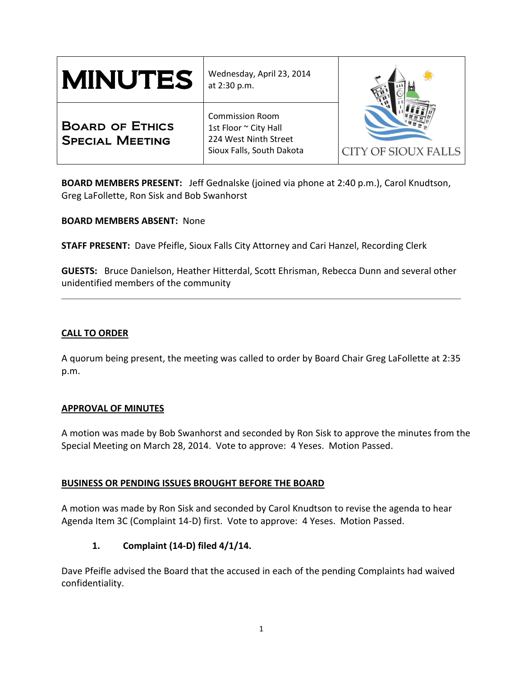| <b>MINUTES</b>                                   | Wednesday, April 23, 2014<br>at 2:30 p.m.                                                             |                            |
|--------------------------------------------------|-------------------------------------------------------------------------------------------------------|----------------------------|
| <b>BOARD OF ETHICS</b><br><b>SPECIAL MEETING</b> | <b>Commission Room</b><br>1st Floor ~ City Hall<br>224 West Ninth Street<br>Sioux Falls, South Dakota | <b>CITY OF SIOUX FALLS</b> |

**BOARD MEMBERS PRESENT:** Jeff Gednalske (joined via phone at 2:40 p.m.), Carol Knudtson, Greg LaFollette, Ron Sisk and Bob Swanhorst

**BOARD MEMBERS ABSENT:** None

**STAFF PRESENT:** Dave Pfeifle, Sioux Falls City Attorney and Cari Hanzel, Recording Clerk

**GUESTS:** Bruce Danielson, Heather Hitterdal, Scott Ehrisman, Rebecca Dunn and several other unidentified members of the community

### **CALL TO ORDER**

A quorum being present, the meeting was called to order by Board Chair Greg LaFollette at 2:35 p.m.

### **APPROVAL OF MINUTES**

A motion was made by Bob Swanhorst and seconded by Ron Sisk to approve the minutes from the Special Meeting on March 28, 2014. Vote to approve: 4 Yeses. Motion Passed.

### **BUSINESS OR PENDING ISSUES BROUGHT BEFORE THE BOARD**

A motion was made by Ron Sisk and seconded by Carol Knudtson to revise the agenda to hear Agenda Item 3C (Complaint 14-D) first. Vote to approve: 4 Yeses. Motion Passed.

## **1. Complaint (14-D) filed 4/1/14.**

Dave Pfeifle advised the Board that the accused in each of the pending Complaints had waived confidentiality.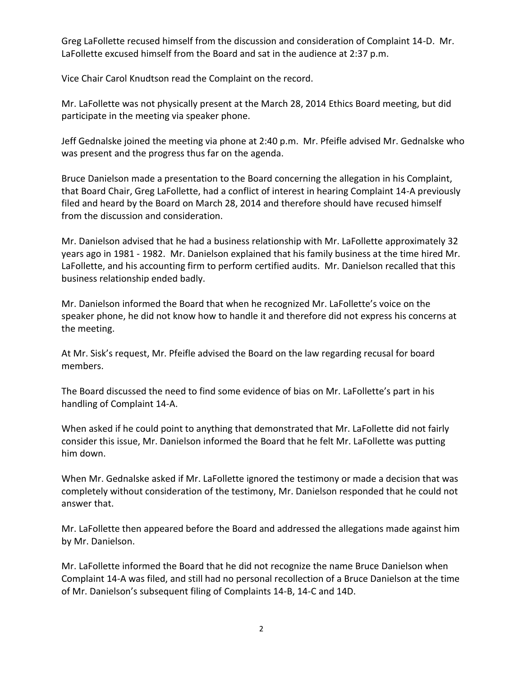Greg LaFollette recused himself from the discussion and consideration of Complaint 14-D. Mr. LaFollette excused himself from the Board and sat in the audience at 2:37 p.m.

Vice Chair Carol Knudtson read the Complaint on the record.

Mr. LaFollette was not physically present at the March 28, 2014 Ethics Board meeting, but did participate in the meeting via speaker phone.

Jeff Gednalske joined the meeting via phone at 2:40 p.m. Mr. Pfeifle advised Mr. Gednalske who was present and the progress thus far on the agenda.

Bruce Danielson made a presentation to the Board concerning the allegation in his Complaint, that Board Chair, Greg LaFollette, had a conflict of interest in hearing Complaint 14-A previously filed and heard by the Board on March 28, 2014 and therefore should have recused himself from the discussion and consideration.

Mr. Danielson advised that he had a business relationship with Mr. LaFollette approximately 32 years ago in 1981 - 1982. Mr. Danielson explained that his family business at the time hired Mr. LaFollette, and his accounting firm to perform certified audits. Mr. Danielson recalled that this business relationship ended badly.

Mr. Danielson informed the Board that when he recognized Mr. LaFollette's voice on the speaker phone, he did not know how to handle it and therefore did not express his concerns at the meeting.

At Mr. Sisk's request, Mr. Pfeifle advised the Board on the law regarding recusal for board members.

The Board discussed the need to find some evidence of bias on Mr. LaFollette's part in his handling of Complaint 14-A.

When asked if he could point to anything that demonstrated that Mr. LaFollette did not fairly consider this issue, Mr. Danielson informed the Board that he felt Mr. LaFollette was putting him down.

When Mr. Gednalske asked if Mr. LaFollette ignored the testimony or made a decision that was completely without consideration of the testimony, Mr. Danielson responded that he could not answer that.

Mr. LaFollette then appeared before the Board and addressed the allegations made against him by Mr. Danielson.

Mr. LaFollette informed the Board that he did not recognize the name Bruce Danielson when Complaint 14-A was filed, and still had no personal recollection of a Bruce Danielson at the time of Mr. Danielson's subsequent filing of Complaints 14-B, 14-C and 14D.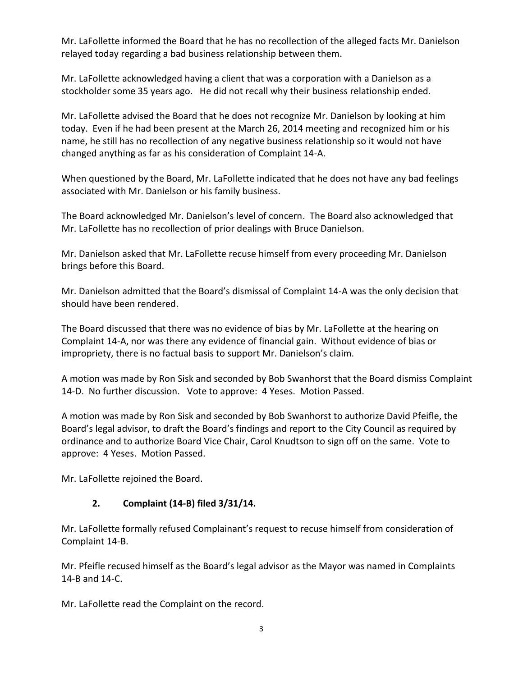Mr. LaFollette informed the Board that he has no recollection of the alleged facts Mr. Danielson relayed today regarding a bad business relationship between them.

Mr. LaFollette acknowledged having a client that was a corporation with a Danielson as a stockholder some 35 years ago. He did not recall why their business relationship ended.

Mr. LaFollette advised the Board that he does not recognize Mr. Danielson by looking at him today. Even if he had been present at the March 26, 2014 meeting and recognized him or his name, he still has no recollection of any negative business relationship so it would not have changed anything as far as his consideration of Complaint 14-A.

When questioned by the Board, Mr. LaFollette indicated that he does not have any bad feelings associated with Mr. Danielson or his family business.

The Board acknowledged Mr. Danielson's level of concern. The Board also acknowledged that Mr. LaFollette has no recollection of prior dealings with Bruce Danielson.

Mr. Danielson asked that Mr. LaFollette recuse himself from every proceeding Mr. Danielson brings before this Board.

Mr. Danielson admitted that the Board's dismissal of Complaint 14-A was the only decision that should have been rendered.

The Board discussed that there was no evidence of bias by Mr. LaFollette at the hearing on Complaint 14-A, nor was there any evidence of financial gain. Without evidence of bias or impropriety, there is no factual basis to support Mr. Danielson's claim.

A motion was made by Ron Sisk and seconded by Bob Swanhorst that the Board dismiss Complaint 14-D. No further discussion. Vote to approve: 4 Yeses. Motion Passed.

A motion was made by Ron Sisk and seconded by Bob Swanhorst to authorize David Pfeifle, the Board's legal advisor, to draft the Board's findings and report to the City Council as required by ordinance and to authorize Board Vice Chair, Carol Knudtson to sign off on the same. Vote to approve: 4 Yeses. Motion Passed.

Mr. LaFollette rejoined the Board.

# **2. Complaint (14-B) filed 3/31/14.**

Mr. LaFollette formally refused Complainant's request to recuse himself from consideration of Complaint 14-B.

Mr. Pfeifle recused himself as the Board's legal advisor as the Mayor was named in Complaints 14-B and 14-C.

Mr. LaFollette read the Complaint on the record.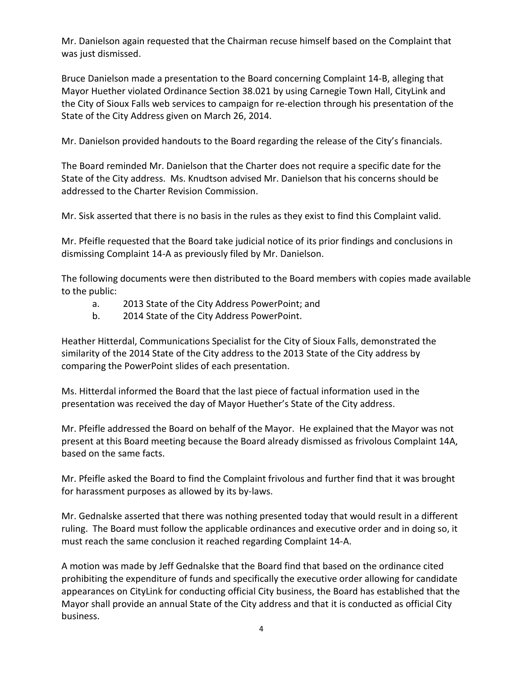Mr. Danielson again requested that the Chairman recuse himself based on the Complaint that was just dismissed.

Bruce Danielson made a presentation to the Board concerning Complaint 14-B, alleging that Mayor Huether violated Ordinance Section 38.021 by using Carnegie Town Hall, CityLink and the City of Sioux Falls web services to campaign for re-election through his presentation of the State of the City Address given on March 26, 2014.

Mr. Danielson provided handouts to the Board regarding the release of the City's financials.

The Board reminded Mr. Danielson that the Charter does not require a specific date for the State of the City address. Ms. Knudtson advised Mr. Danielson that his concerns should be addressed to the Charter Revision Commission.

Mr. Sisk asserted that there is no basis in the rules as they exist to find this Complaint valid.

Mr. Pfeifle requested that the Board take judicial notice of its prior findings and conclusions in dismissing Complaint 14-A as previously filed by Mr. Danielson.

The following documents were then distributed to the Board members with copies made available to the public:

- a. 2013 State of the City Address PowerPoint; and
- b. 2014 State of the City Address PowerPoint.

Heather Hitterdal, Communications Specialist for the City of Sioux Falls, demonstrated the similarity of the 2014 State of the City address to the 2013 State of the City address by comparing the PowerPoint slides of each presentation.

Ms. Hitterdal informed the Board that the last piece of factual information used in the presentation was received the day of Mayor Huether's State of the City address.

Mr. Pfeifle addressed the Board on behalf of the Mayor. He explained that the Mayor was not present at this Board meeting because the Board already dismissed as frivolous Complaint 14A, based on the same facts.

Mr. Pfeifle asked the Board to find the Complaint frivolous and further find that it was brought for harassment purposes as allowed by its by-laws.

Mr. Gednalske asserted that there was nothing presented today that would result in a different ruling. The Board must follow the applicable ordinances and executive order and in doing so, it must reach the same conclusion it reached regarding Complaint 14-A.

A motion was made by Jeff Gednalske that the Board find that based on the ordinance cited prohibiting the expenditure of funds and specifically the executive order allowing for candidate appearances on CityLink for conducting official City business, the Board has established that the Mayor shall provide an annual State of the City address and that it is conducted as official City business.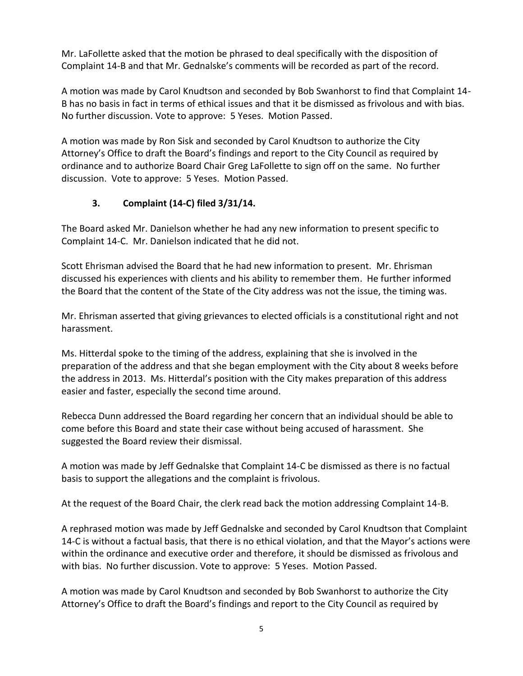Mr. LaFollette asked that the motion be phrased to deal specifically with the disposition of Complaint 14-B and that Mr. Gednalske's comments will be recorded as part of the record.

A motion was made by Carol Knudtson and seconded by Bob Swanhorst to find that Complaint 14- B has no basis in fact in terms of ethical issues and that it be dismissed as frivolous and with bias. No further discussion. Vote to approve: 5 Yeses. Motion Passed.

A motion was made by Ron Sisk and seconded by Carol Knudtson to authorize the City Attorney's Office to draft the Board's findings and report to the City Council as required by ordinance and to authorize Board Chair Greg LaFollette to sign off on the same. No further discussion. Vote to approve: 5 Yeses. Motion Passed.

# **3. Complaint (14-C) filed 3/31/14.**

The Board asked Mr. Danielson whether he had any new information to present specific to Complaint 14-C. Mr. Danielson indicated that he did not.

Scott Ehrisman advised the Board that he had new information to present. Mr. Ehrisman discussed his experiences with clients and his ability to remember them. He further informed the Board that the content of the State of the City address was not the issue, the timing was.

Mr. Ehrisman asserted that giving grievances to elected officials is a constitutional right and not harassment.

Ms. Hitterdal spoke to the timing of the address, explaining that she is involved in the preparation of the address and that she began employment with the City about 8 weeks before the address in 2013. Ms. Hitterdal's position with the City makes preparation of this address easier and faster, especially the second time around.

Rebecca Dunn addressed the Board regarding her concern that an individual should be able to come before this Board and state their case without being accused of harassment. She suggested the Board review their dismissal.

A motion was made by Jeff Gednalske that Complaint 14-C be dismissed as there is no factual basis to support the allegations and the complaint is frivolous.

At the request of the Board Chair, the clerk read back the motion addressing Complaint 14-B.

A rephrased motion was made by Jeff Gednalske and seconded by Carol Knudtson that Complaint 14-C is without a factual basis, that there is no ethical violation, and that the Mayor's actions were within the ordinance and executive order and therefore, it should be dismissed as frivolous and with bias. No further discussion. Vote to approve: 5 Yeses. Motion Passed.

A motion was made by Carol Knudtson and seconded by Bob Swanhorst to authorize the City Attorney's Office to draft the Board's findings and report to the City Council as required by